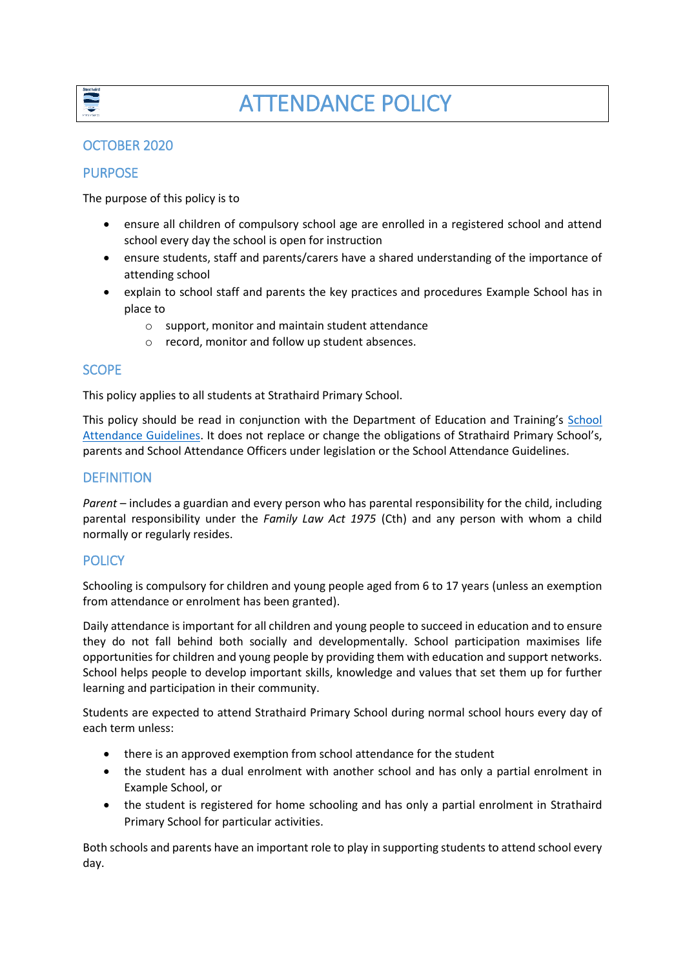

# OCTOBER 2020

## PURPOSE

The purpose of this policy is to

- ensure all children of compulsory school age are enrolled in a registered school and attend school every day the school is open for instruction
- ensure students, staff and parents/carers have a shared understanding of the importance of attending school
- explain to school staff and parents the key practices and procedures Example School has in place to
	- o support, monitor and maintain student attendance
	- o record, monitor and follow up student absences.

## SCOPE

This policy applies to all students at Strathaird Primary School.

This policy should be read in conjunction with the Department of Education and Training's School [Attendance Guidelines.](https://www.education.vic.gov.au/school/teachers/studentmanagement/attendance/Pages/default.aspx) It does not replace or change the obligations of Strathaird Primary School's, parents and School Attendance Officers under legislation or the School Attendance Guidelines.

## **DEFINITION**

*Parent* – includes a guardian and every person who has parental responsibility for the child, including parental responsibility under the *Family Law Act 1975* (Cth) and any person with whom a child normally or regularly resides.

## **POLICY**

Schooling is compulsory for children and young people aged from 6 to 17 years (unless an exemption from attendance or enrolment has been granted).

Daily attendance is important for all children and young people to succeed in education and to ensure they do not fall behind both socially and developmentally. School participation maximises life opportunities for children and young people by providing them with education and support networks. School helps people to develop important skills, knowledge and values that set them up for further learning and participation in their community.

Students are expected to attend Strathaird Primary School during normal school hours every day of each term unless:

- there is an approved exemption from school attendance for the student
- the student has a dual enrolment with another school and has only a partial enrolment in Example School, or
- the student is registered for home schooling and has only a partial enrolment in Strathaird Primary School for particular activities.

Both schools and parents have an important role to play in supporting students to attend school every day.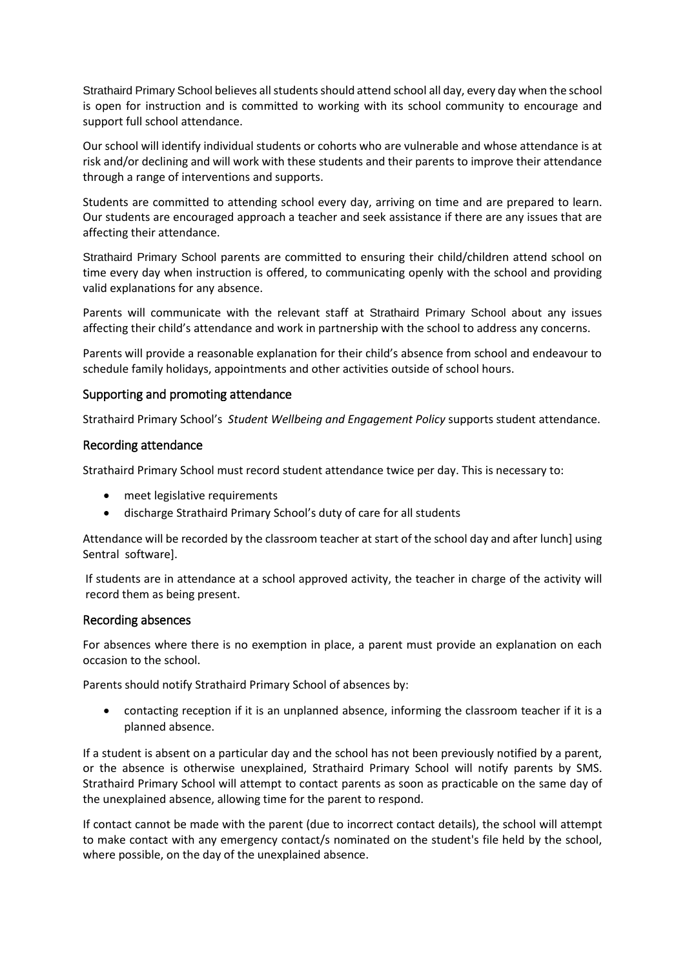Strathaird Primary School believes all studentsshould attend school all day, every day when the school is open for instruction and is committed to working with its school community to encourage and support full school attendance.

Our school will identify individual students or cohorts who are vulnerable and whose attendance is at risk and/or declining and will work with these students and their parents to improve their attendance through a range of interventions and supports.

Students are committed to attending school every day, arriving on time and are prepared to learn. Our students are encouraged approach a teacher and seek assistance if there are any issues that are affecting their attendance.

Strathaird Primary School parents are committed to ensuring their child/children attend school on time every day when instruction is offered, to communicating openly with the school and providing valid explanations for any absence.

Parents will communicate with the relevant staff at Strathaird Primary School about any issues affecting their child's attendance and work in partnership with the school to address any concerns.

Parents will provide a reasonable explanation for their child's absence from school and endeavour to schedule family holidays, appointments and other activities outside of school hours.

### Supporting and promoting attendance

Strathaird Primary School's *Student Wellbeing and Engagement Policy* supports student attendance.

#### Recording attendance

Strathaird Primary School must record student attendance twice per day. This is necessary to:

- meet legislative requirements
- discharge Strathaird Primary School's duty of care for all students

Attendance will be recorded by the classroom teacher at start of the school day and after lunch] using Sentral software].

If students are in attendance at a school approved activity, the teacher in charge of the activity will record them as being present.

#### Recording absences

For absences where there is no exemption in place, a parent must provide an explanation on each occasion to the school.

Parents should notify Strathaird Primary School of absences by:

 contacting reception if it is an unplanned absence, informing the classroom teacher if it is a planned absence.

If a student is absent on a particular day and the school has not been previously notified by a parent, or the absence is otherwise unexplained, Strathaird Primary School will notify parents by SMS. Strathaird Primary School will attempt to contact parents as soon as practicable on the same day of the unexplained absence, allowing time for the parent to respond.

If contact cannot be made with the parent (due to incorrect contact details), the school will attempt to make contact with any emergency contact/s nominated on the student's file held by the school, where possible, on the day of the unexplained absence.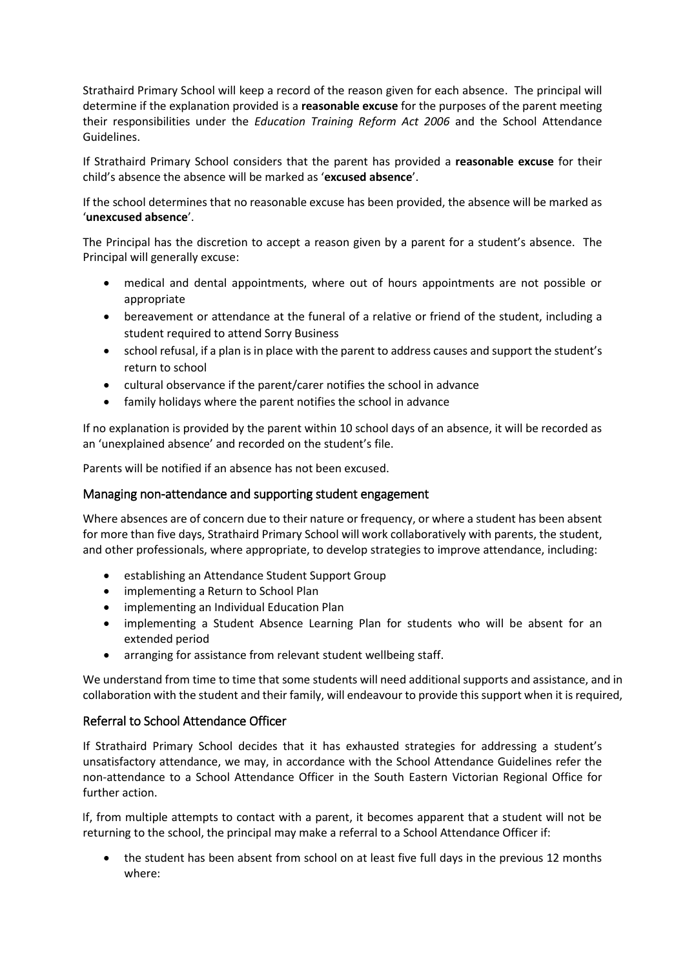Strathaird Primary School will keep a record of the reason given for each absence. The principal will determine if the explanation provided is a **reasonable excuse** for the purposes of the parent meeting their responsibilities under the *Education Training Reform Act 2006* and the School Attendance Guidelines.

If Strathaird Primary School considers that the parent has provided a **reasonable excuse** for their child's absence the absence will be marked as '**excused absence**'.

If the school determines that no reasonable excuse has been provided, the absence will be marked as '**unexcused absence**'.

The Principal has the discretion to accept a reason given by a parent for a student's absence. The Principal will generally excuse:

- medical and dental appointments, where out of hours appointments are not possible or appropriate
- bereavement or attendance at the funeral of a relative or friend of the student, including a student required to attend Sorry Business
- school refusal, if a plan is in place with the parent to address causes and support the student's return to school
- cultural observance if the parent/carer notifies the school in advance
- family holidays where the parent notifies the school in advance

If no explanation is provided by the parent within 10 school days of an absence, it will be recorded as an 'unexplained absence' and recorded on the student's file.

Parents will be notified if an absence has not been excused.

### Managing non-attendance and supporting student engagement

Where absences are of concern due to their nature or frequency, or where a student has been absent for more than five days, Strathaird Primary School will work collaboratively with parents, the student, and other professionals, where appropriate, to develop strategies to improve attendance, including:

- establishing an Attendance Student Support Group
- implementing a Return to School Plan
- implementing an Individual Education Plan
- implementing a Student Absence Learning Plan for students who will be absent for an extended period
- arranging for assistance from relevant student wellbeing staff.

We understand from time to time that some students will need additional supports and assistance, and in collaboration with the student and their family, will endeavour to provide this support when it is required,

### Referral to School Attendance Officer

If Strathaird Primary School decides that it has exhausted strategies for addressing a student's unsatisfactory attendance, we may, in accordance with the School Attendance Guidelines refer the non-attendance to a School Attendance Officer in the South Eastern Victorian Regional Office for further action.

If, from multiple attempts to contact with a parent, it becomes apparent that a student will not be returning to the school, the principal may make a referral to a School Attendance Officer if:

• the student has been absent from school on at least five full days in the previous 12 months where: